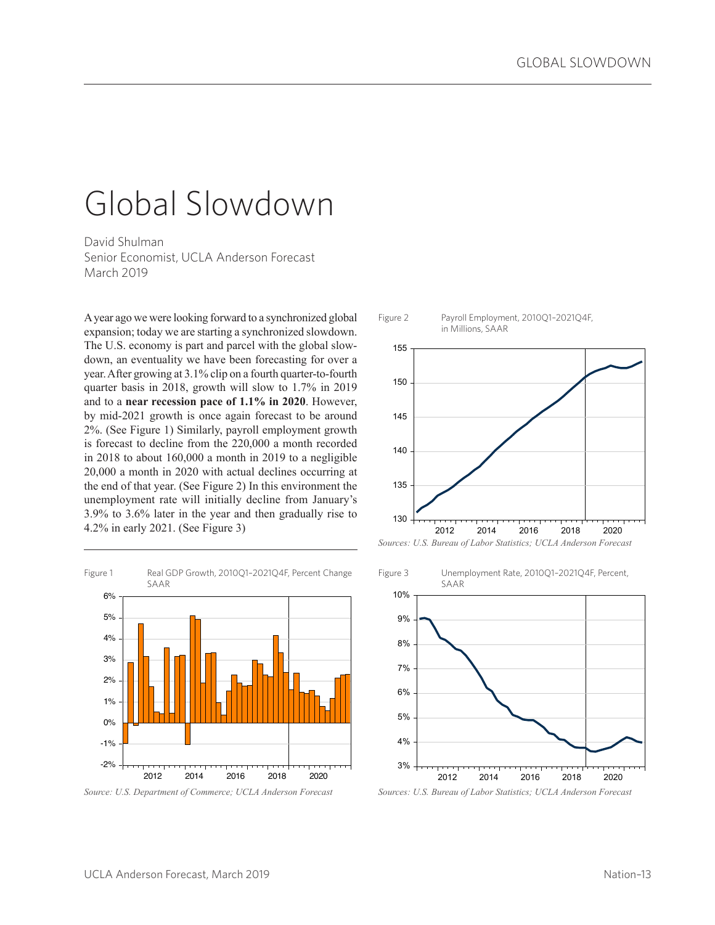# Global Slowdown

David Shulman Senior Economist, UCLA Anderson Forecast March 2019

A year ago we were looking forward to a synchronized global expansion; today we are starting a synchronized slowdown. The U.S. economy is part and parcel with the global slowdown, an eventuality we have been forecasting for over a year. After growing at 3.1% clip on a fourth quarter-to-fourth quarter basis in 2018, growth will slow to 1.7% in 2019 and to a **near recession pace of 1.1% in 2020**. However, by mid-2021 growth is once again forecast to be around 2%. (See Figure 1) Similarly, payroll employment growth is forecast to decline from the 220,000 a month recorded in 2018 to about 160,000 a month in 2019 to a negligible 20,000 a month in 2020 with actual declines occurring at the end of that year. (See Figure 2) In this environment the unemployment rate will initially decline from January's 3.9% to 3.6% later in the year and then gradually rise to 4.2% in early 2021. (See Figure 3)



*Source: U.S. Department of Commerce; UCLA Anderson Forecast*



Figure 2 Payroll Employment, 2010Q1–2021Q4F,

*Sources: U.S. Bureau of Labor Statistics; UCLA Anderson Forecast*



*Sources: U.S. Bureau of Labor Statistics; UCLA Anderson Forecast*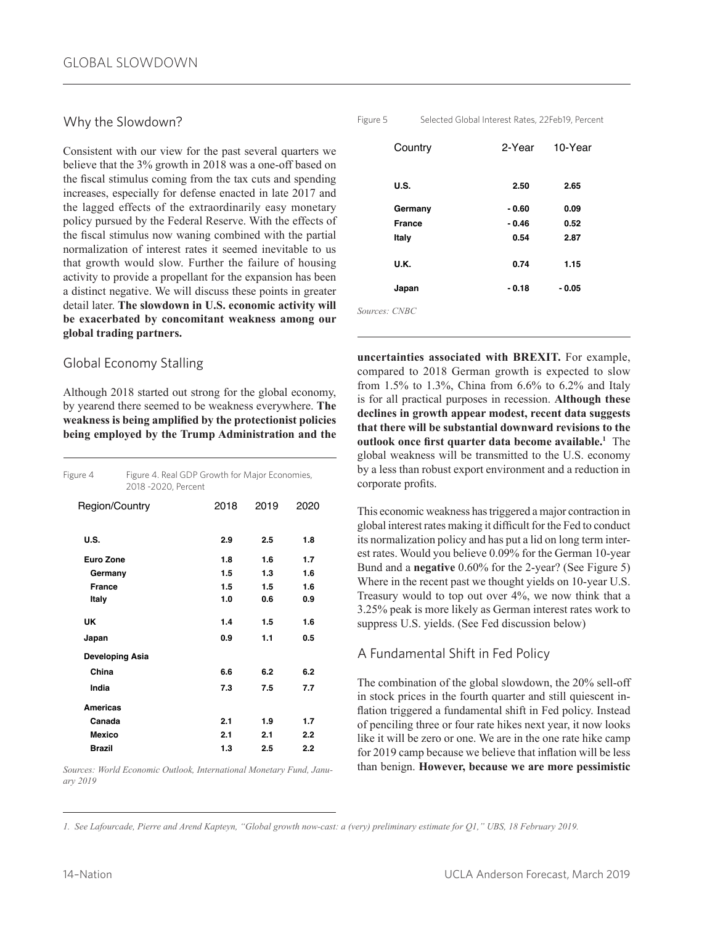## Why the Slowdown?

Consistent with our view for the past several quarters we believe that the 3% growth in 2018 was a one-off based on the fiscal stimulus coming from the tax cuts and spending increases, especially for defense enacted in late 2017 and the lagged effects of the extraordinarily easy monetary policy pursued by the Federal Reserve. With the effects of the fiscal stimulus now waning combined with the partial normalization of interest rates it seemed inevitable to us that growth would slow. Further the failure of housing activity to provide a propellant for the expansion has been a distinct negative. We will discuss these points in greater detail later. **The slowdown in U.S. economic activity will be exacerbated by concomitant weakness among our global trading partners.** 

## Global Economy Stalling

Although 2018 started out strong for the global economy, by yearend there seemed to be weakness everywhere. **The weakness is being amplified by the protectionist policies being employed by the Trump Administration and the** 

| Figure 4         |                 | Figure 4. Real GDP Growth for Major Economies,<br>2018 -2020, Percent |      |      |  |
|------------------|-----------------|-----------------------------------------------------------------------|------|------|--|
| Region/Country   |                 | 2018                                                                  | 2019 | 2020 |  |
| U.S.             |                 | 2.9                                                                   | 2.5  | 1.8  |  |
| <b>Euro Zone</b> |                 | 1.8                                                                   | 1.6  | 1.7  |  |
| Germany          |                 | 1.5                                                                   | 1.3  | 1.6  |  |
| <b>France</b>    |                 | 1.5                                                                   | 1.5  | 1.6  |  |
| Italy            |                 | 1.0                                                                   | 0.6  | 0.9  |  |
| UK               |                 | 1.4                                                                   | 1.5  | 1.6  |  |
| Japan            |                 | 0.9                                                                   | 1.1  | 0.5  |  |
|                  | Developing Asia |                                                                       |      |      |  |
| China            |                 | 6.6                                                                   | 6.2  | 6.2  |  |
| India            |                 | 7.3                                                                   | 7.5  | 7.7  |  |
| <b>Americas</b>  |                 |                                                                       |      |      |  |
| Canada           |                 | 2.1                                                                   | 1.9  | 1.7  |  |
| <b>Mexico</b>    |                 | 2.1                                                                   | 2.1  | 2.2  |  |
| <b>Brazil</b>    |                 | 1.3                                                                   | 2.5  | 2.2  |  |

*Sources: World Economic Outlook, International Monetary Fund, January 2019*

Figure 5 Selected Global Interest Rates, 22Feb19, Percent

| Country       | 2-Year  | 10-Year |
|---------------|---------|---------|
| U.S.          | 2.50    | 2.65    |
| Germany       | $-0.60$ | 0.09    |
| <b>France</b> | $-0.46$ | 0.52    |
| Italy         | 0.54    | 2.87    |
| U.K.          | 0.74    | 1.15    |
| Japan         | $-0.18$ | $-0.05$ |
| Sources: CNBC |         |         |

**uncertainties associated with BREXIT.** For example, compared to 2018 German growth is expected to slow from 1.5% to 1.3%, China from 6.6% to 6.2% and Italy is for all practical purposes in recession. **Although these declines in growth appear modest, recent data suggests that there will be substantial downward revisions to the outlook once first quarter data become available.<sup>1</sup>** The global weakness will be transmitted to the U.S. economy by a less than robust export environment and a reduction in corporate profits.

This economic weakness has triggered a major contraction in global interest rates making it difficult for the Fed to conduct its normalization policy and has put a lid on long term interest rates. Would you believe 0.09% for the German 10-year Bund and a **negative** 0.60% for the 2-year? (See Figure 5) Where in the recent past we thought yields on 10-year U.S. Treasury would to top out over 4%, we now think that a 3.25% peak is more likely as German interest rates work to suppress U.S. yields. (See Fed discussion below)

## A Fundamental Shift in Fed Policy

The combination of the global slowdown, the 20% sell-off in stock prices in the fourth quarter and still quiescent inflation triggered a fundamental shift in Fed policy. Instead of penciling three or four rate hikes next year, it now looks like it will be zero or one. We are in the one rate hike camp for 2019 camp because we believe that inflation will be less than benign. **However, because we are more pessimistic** 

*1. See Lafourcade, Pierre and Arend Kapteyn, "Global growth now-cast: a (very) preliminary estimate for Q1," UBS, 18 February 2019.*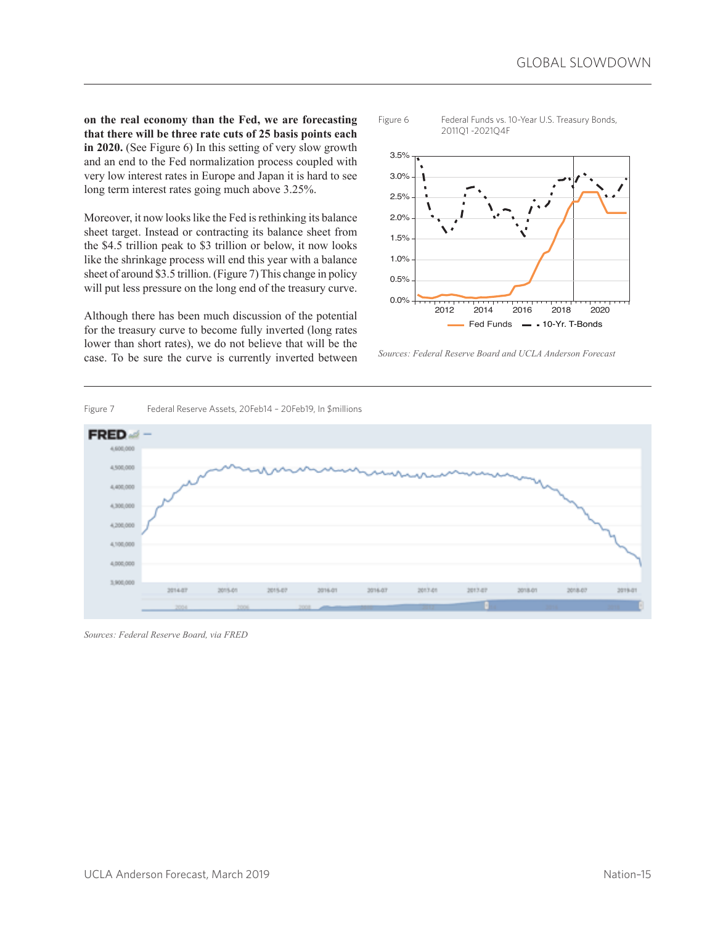**on the real economy than the Fed, we are forecasting that there will be three rate cuts of 25 basis points each in 2020.** (See Figure 6) In this setting of very slow growth and an end to the Fed normalization process coupled with very low interest rates in Europe and Japan it is hard to see long term interest rates going much above 3.25%.

Moreover, it now looks like the Fed is rethinking its balance sheet target. Instead or contracting its balance sheet from the \$4.5 trillion peak to \$3 trillion or below, it now looks like the shrinkage process will end this year with a balance sheet of around \$3.5 trillion. (Figure 7) This change in policy will put less pressure on the long end of the treasury curve.

Although there has been much discussion of the potential for the treasury curve to become fully inverted (long rates lower than short rates), we do not believe that will be the case. To be sure the curve is currently inverted between





*Sources: Federal Reserve Board and UCLA Anderson Forecast*



*Sources: Federal Reserve Board, via FRED*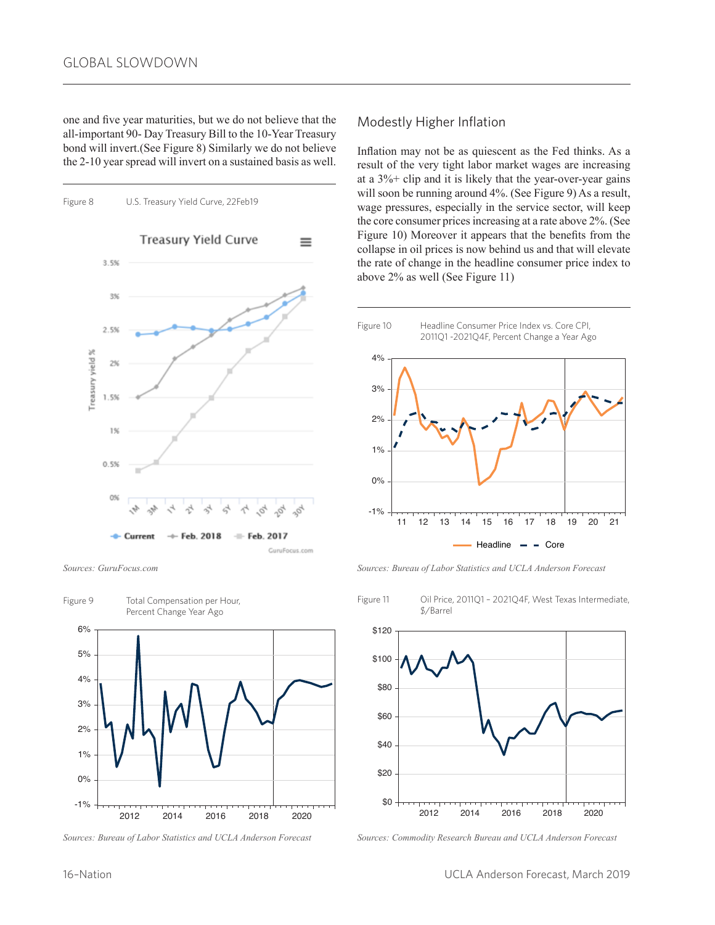one and five year maturities, but we do not believe that the all-important 90- Day Treasury Bill to the 10-Year Treasury bond will invert.(See Figure 8) Similarly we do not believe the 2-10 year spread will invert on a sustained basis as well.



*Sources: GuruFocus.com*





### Modestly Higher Inflation

Inflation may not be as quiescent as the Fed thinks. As a result of the very tight labor market wages are increasing at a 3%+ clip and it is likely that the year-over-year gains will soon be running around 4%. (See Figure 9) As a result, wage pressures, especially in the service sector, will keep the core consumer prices increasing at a rate above 2%. (See Figure 10) Moreover it appears that the benefits from the collapse in oil prices is now behind us and that will elevate the rate of change in the headline consumer price index to above 2% as well (See Figure 11)



*Sources: Bureau of Labor Statistics and UCLA Anderson Forecast*



*Sources: Commodity Research Bureau and UCLA Anderson Forecast*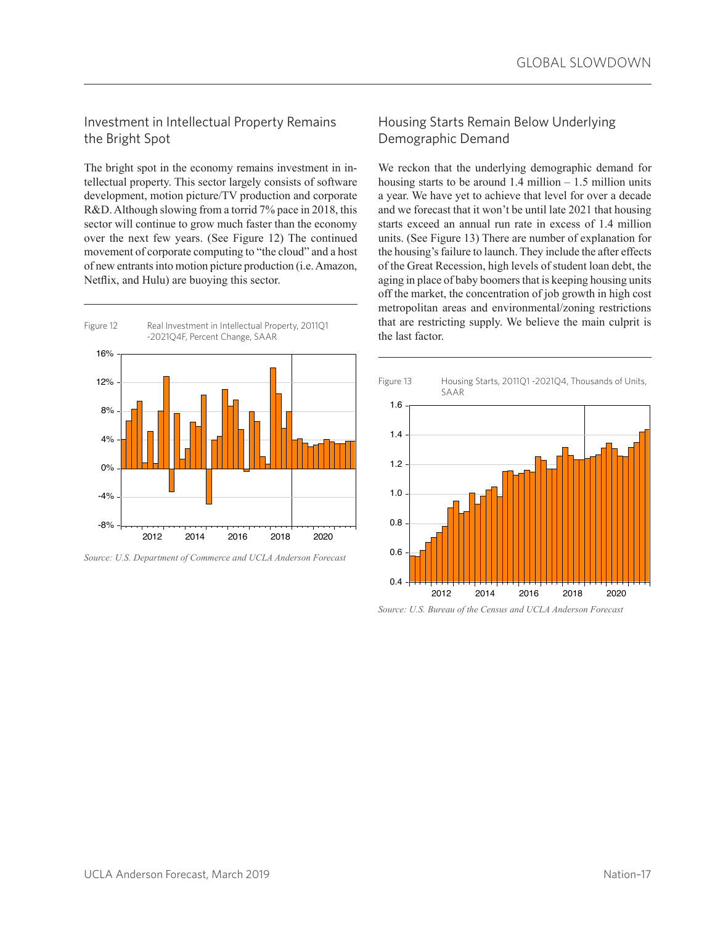## Investment in Intellectual Property Remains the Bright Spot

The bright spot in the economy remains investment in intellectual property. This sector largely consists of software development, motion picture/TV production and corporate R&D. Although slowing from a torrid 7% pace in 2018, this sector will continue to grow much faster than the economy over the next few years. (See Figure 12) The continued movement of corporate computing to "the cloud" and a host of new entrants into motion picture production (i.e. Amazon, Netflix, and Hulu) are buoying this sector.



*Source: U.S. Department of Commerce and UCLA Anderson Forecast*

## Housing Starts Remain Below Underlying Demographic Demand

We reckon that the underlying demographic demand for housing starts to be around  $1.4$  million –  $1.5$  million units a year. We have yet to achieve that level for over a decade and we forecast that it won't be until late 2021 that housing starts exceed an annual run rate in excess of 1.4 million units. (See Figure 13) There are number of explanation for the housing's failure to launch. They include the after effects of the Great Recession, high levels of student loan debt, the aging in place of baby boomers that is keeping housing units off the market, the concentration of job growth in high cost metropolitan areas and environmental/zoning restrictions that are restricting supply. We believe the main culprit is the last factor.



*Source: U.S. Bureau of the Census and UCLA Anderson Forecast*